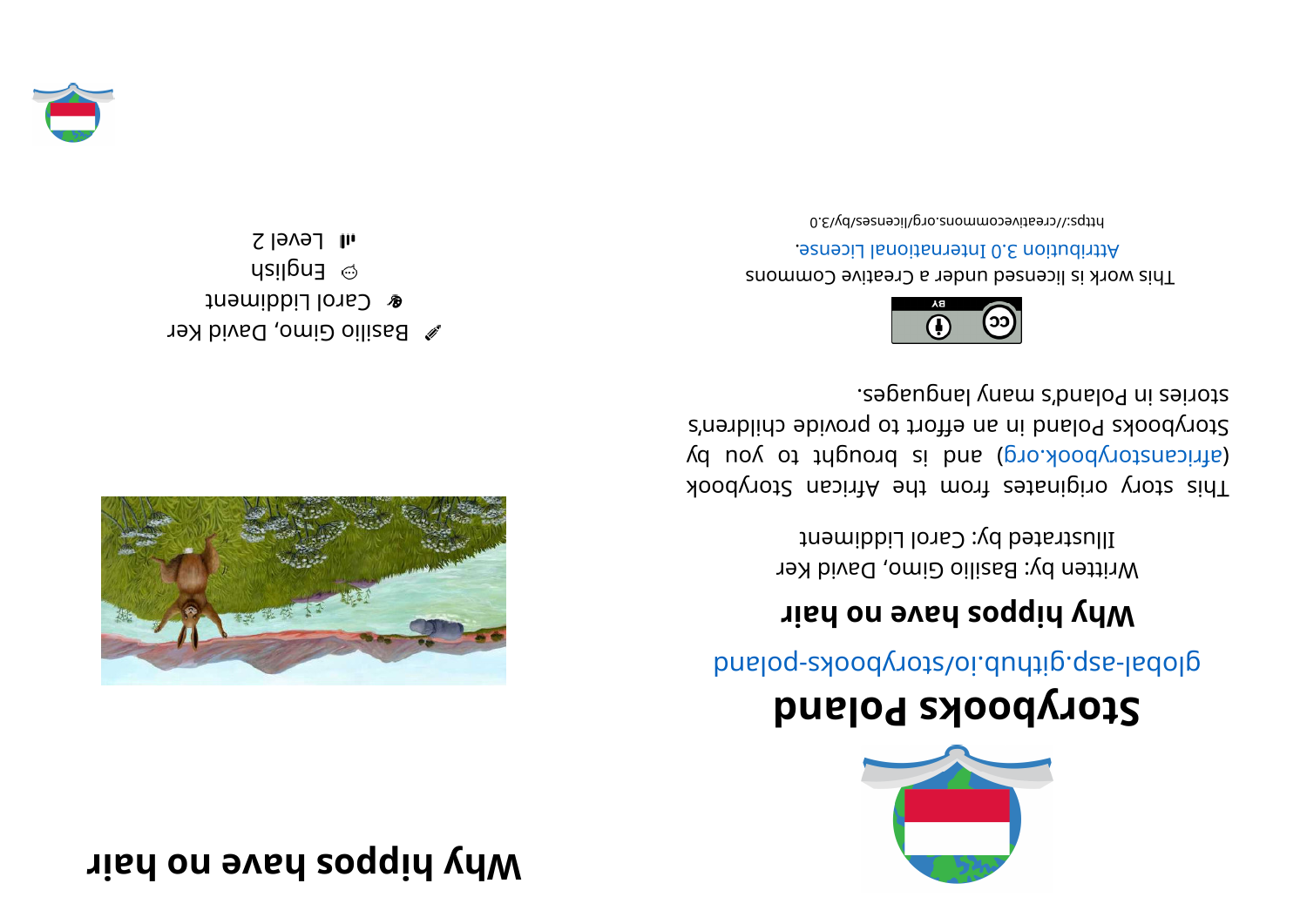## **r z example r z e s o d** *a* **<b>e s e s s e s e s e s e z e s e s e s e s e s e s e s e s e s e s e s e s e s e s e s e**



## **dnal oPskoobyr otS**

glope- syood votelori.durig.qse-ladolg

## **right** brief is the poppier  $\boldsymbol{\mu}$

Written by: Basilio Gimo, David Ker Illustrated by: Carol Liddiment

Kood yot a kiginates from the African Storybook (d uoy ot tripuor b b no is bnach of an isolation by Storybooks Poland in an effort to provide children's segaugnal ynam s'bnalog ni zeinota.



This work is licensed under a Creative Commons . esnecial langibonal License.

bttps://creativecommons.org/licenses/by/3.0



 $\mathscr X$  Basilio Gimo, David Ker **&** Carol Liddiment  $\omega$  English  $I$ l FGVel 2

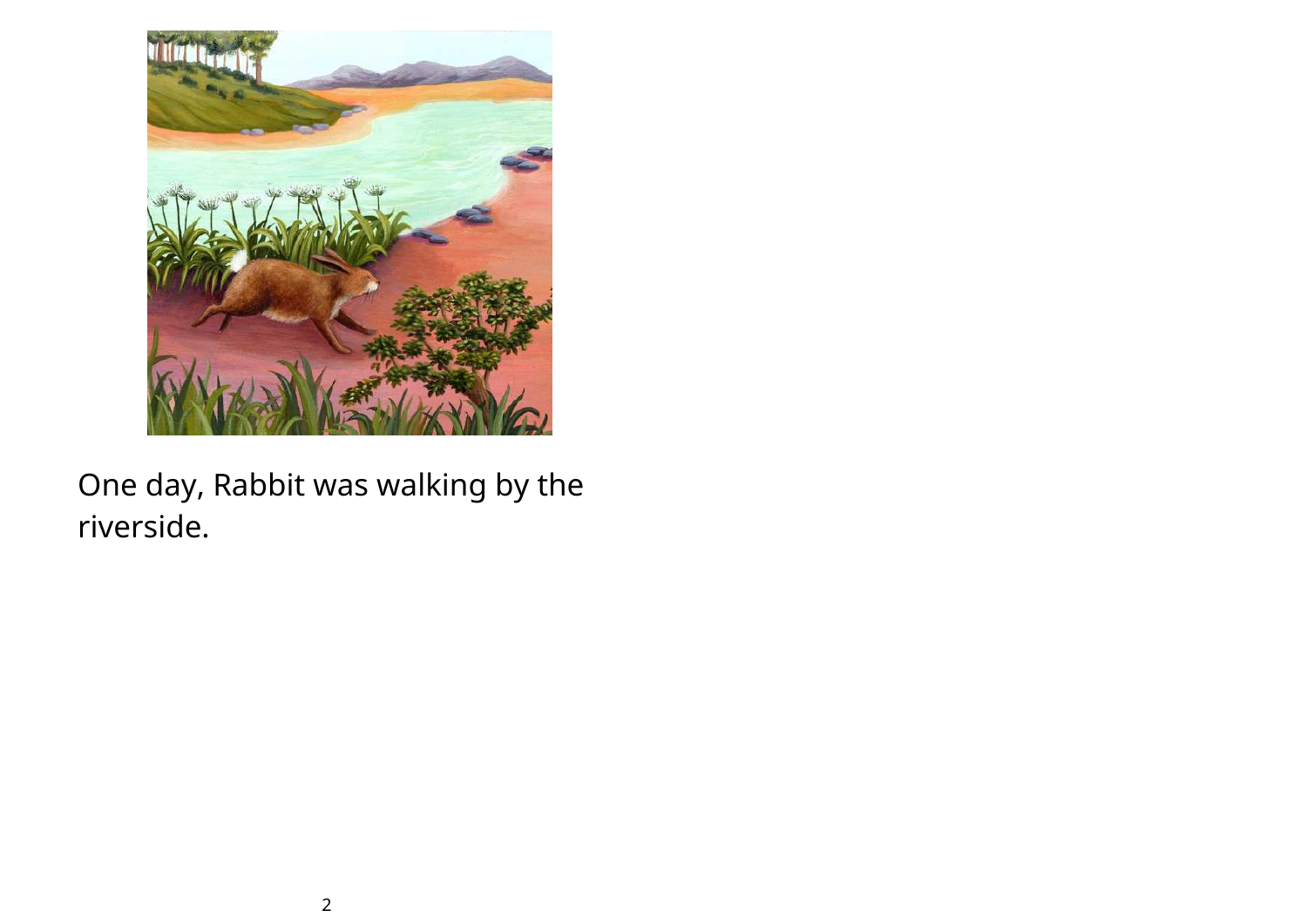

One day, Rabbit was walking by the riverside.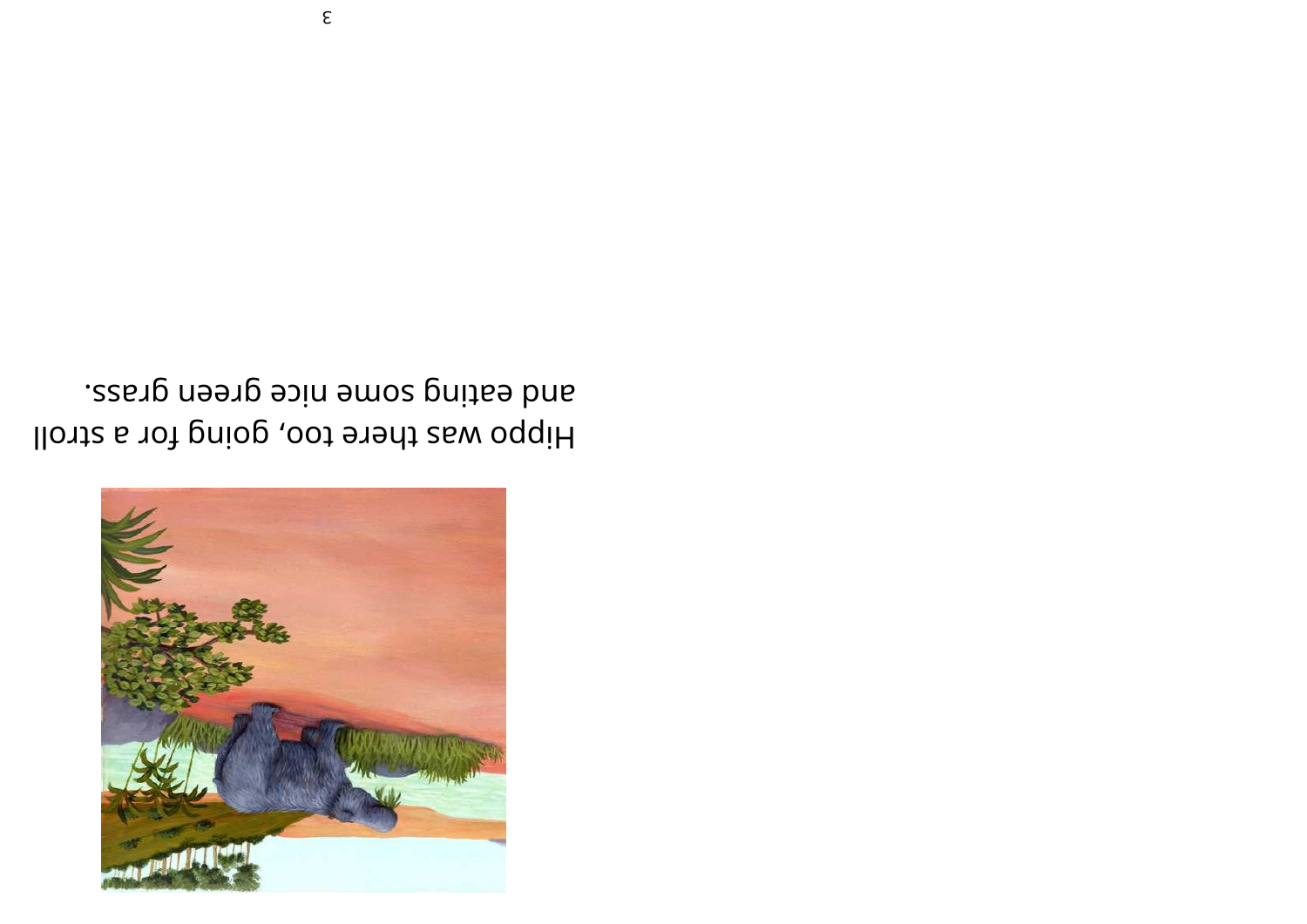

and eating some nice green grass. Hippo was there too, going for a stroll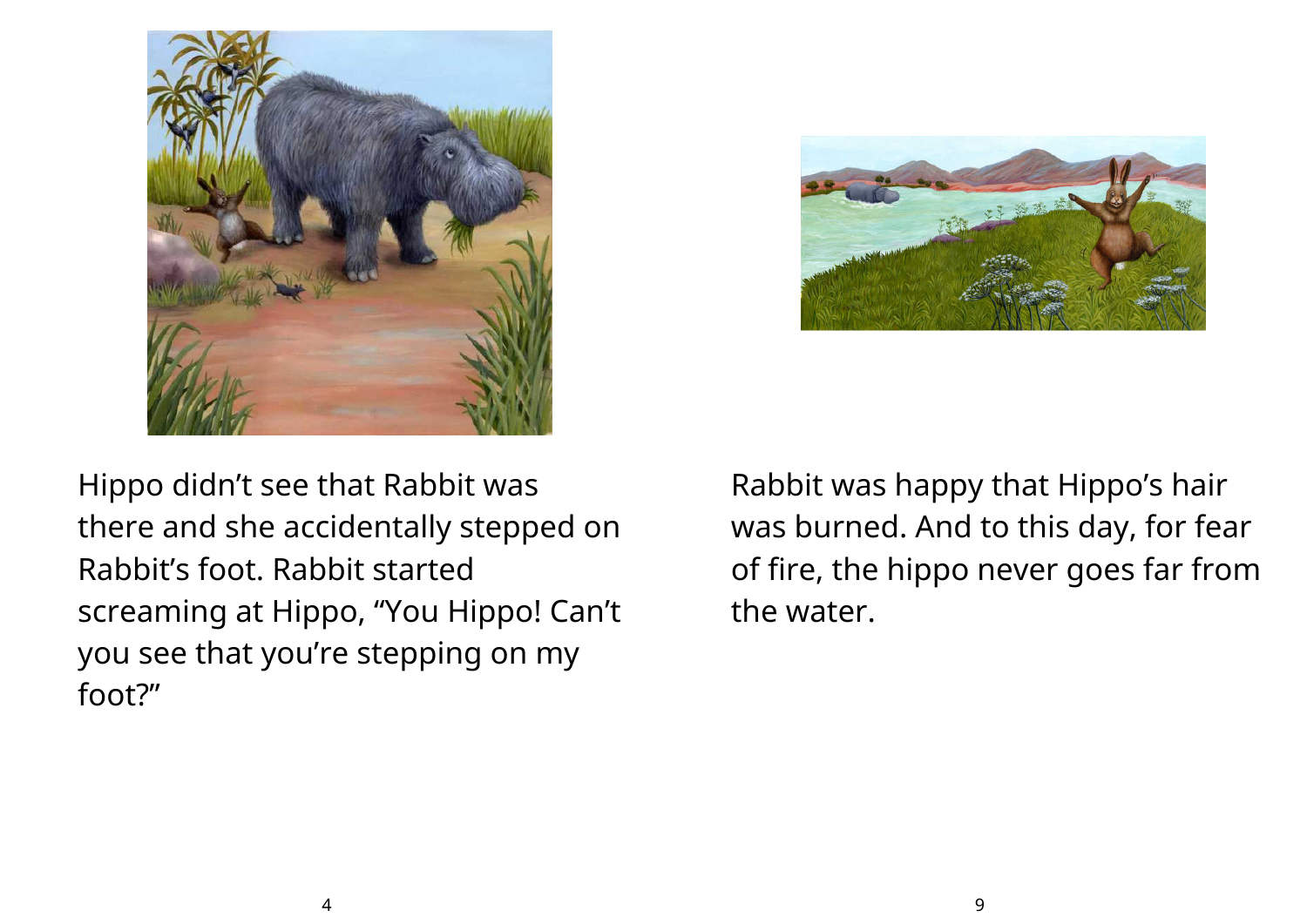



Hippo didn't see that Rabbit was there and she accidentally stepped on Rabbit's foot. Rabbit started screaming at Hippo, "You Hippo! Can't you see that you're stepping on my foot?"

Rabbit was happy that Hippo's hair was burned. And to this day, for fear of fire, the hippo never goes far from the water.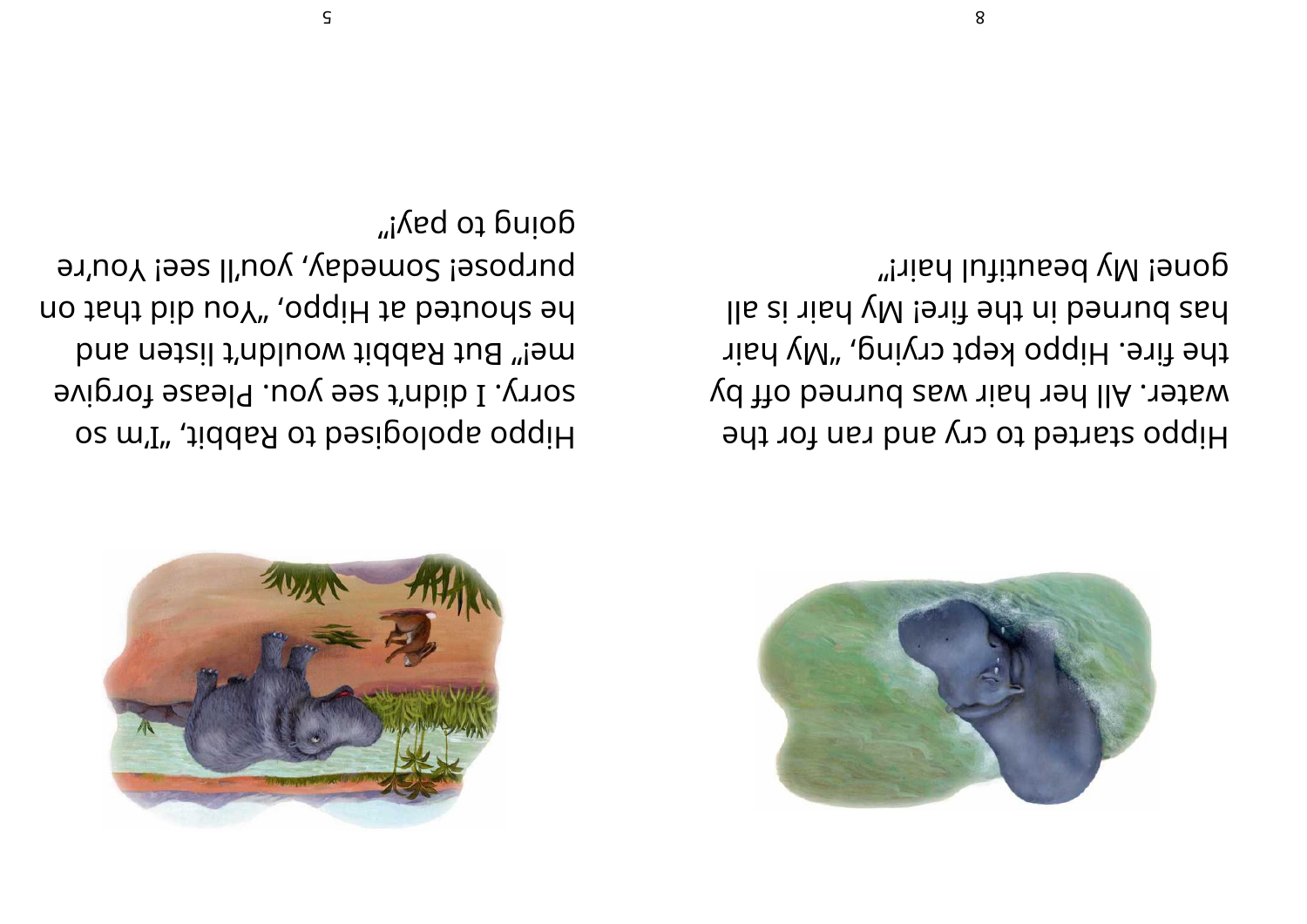

gone! My beautiful hair!" lla zi nisd yM !enit edt ni bennud zad the fire. Hippo kept crying, "My hair water. All her hair was burned off by Hippo started to cry and ran for the

going to pay!" butboze; Somegay, yon'll see! You're no tadt bib uoY", oqqiH ta batuona ad mei" But Rabbit wouldn't listen and sorry. I didn't see you. Please forgive os m'I", diddas of besigologs oqqiH



 $\varsigma$